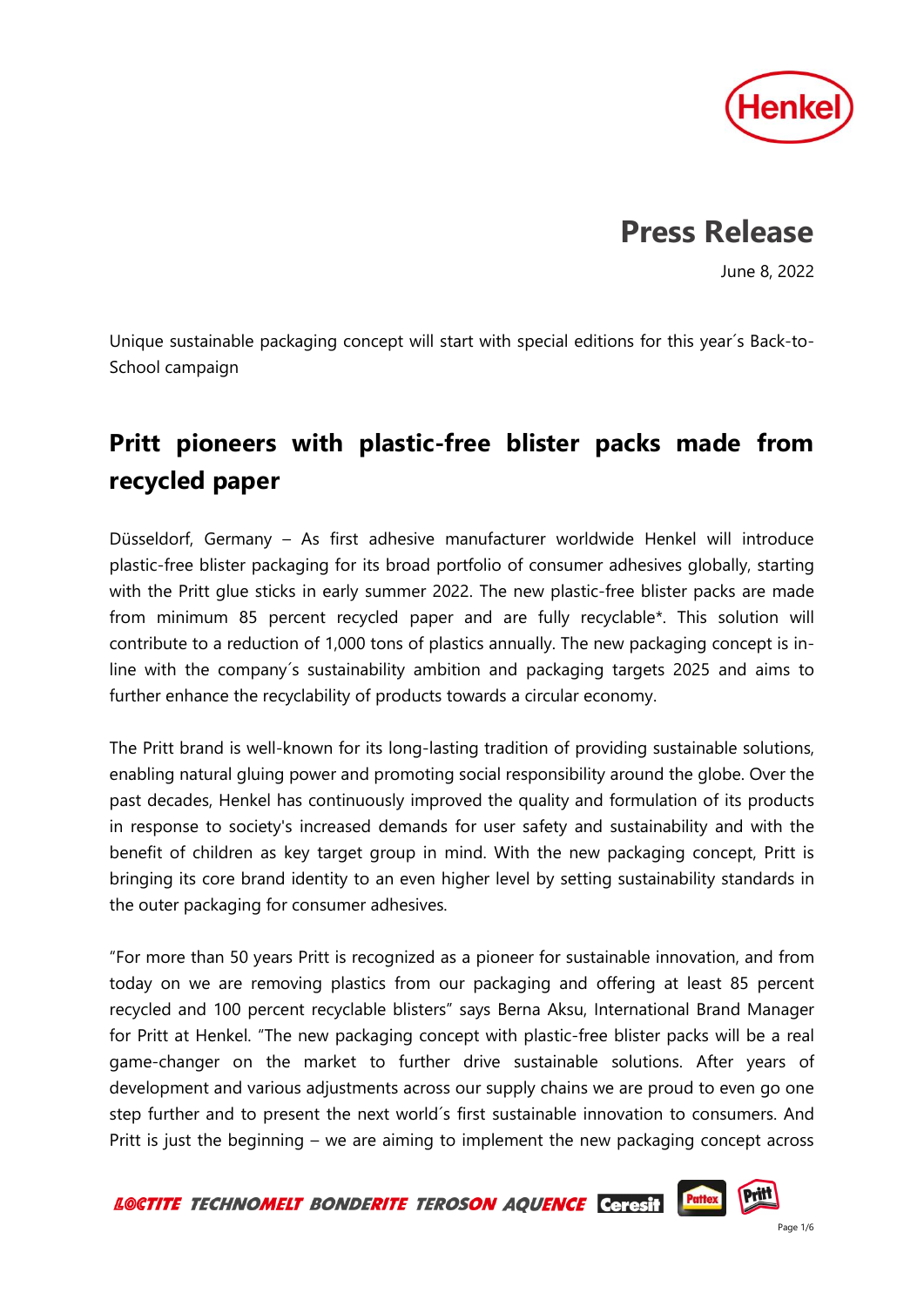

## **Press Release**

June 8, 2022

Unique sustainable packaging concept will start with special editions for this year´s Back-to-School campaign

## **Pritt pioneers with plastic-free blister packs made from recycled paper**

Düsseldorf, Germany – As first adhesive manufacturer worldwide Henkel will introduce plastic-free blister packaging for its broad portfolio of consumer adhesives globally, starting with the Pritt glue sticks in early summer 2022. The new plastic-free blister packs are made from minimum 85 percent recycled paper and are fully recyclable\*. This solution will contribute to a reduction of 1,000 tons of plastics annually. The new packaging concept is inline with the company´s sustainability ambition and packaging targets 2025 and aims to further enhance the recyclability of products towards a circular economy.

The Pritt brand is well-known for its long-lasting tradition of providing sustainable solutions, enabling natural gluing power and promoting social responsibility around the globe. Over the past decades, Henkel has continuously improved the quality and formulation of its products in response to society's increased demands for user safety and sustainability and with the benefit of children as key target group in mind. With the new packaging concept, Pritt is bringing its core brand identity to an even higher level by setting sustainability standards in the outer packaging for consumer adhesives.

"For more than 50 years Pritt is recognized as a pioneer for sustainable innovation, and from today on we are removing plastics from our packaging and offering at least 85 percent recycled and 100 percent recyclable blisters" says Berna Aksu, International Brand Manager for Pritt at Henkel. "The new packaging concept with plastic-free blister packs will be a real game-changer on the market to further drive sustainable solutions. After years of development and various adjustments across our supply chains we are proud to even go one step further and to present the next world´s first sustainable innovation to consumers. And Pritt is just the beginning – we are aiming to implement the new packaging concept across

**Pattex** LOCTITE TECHNOMELT BONDERITE TEROSON AQUENCE Ceresit

**Pritt**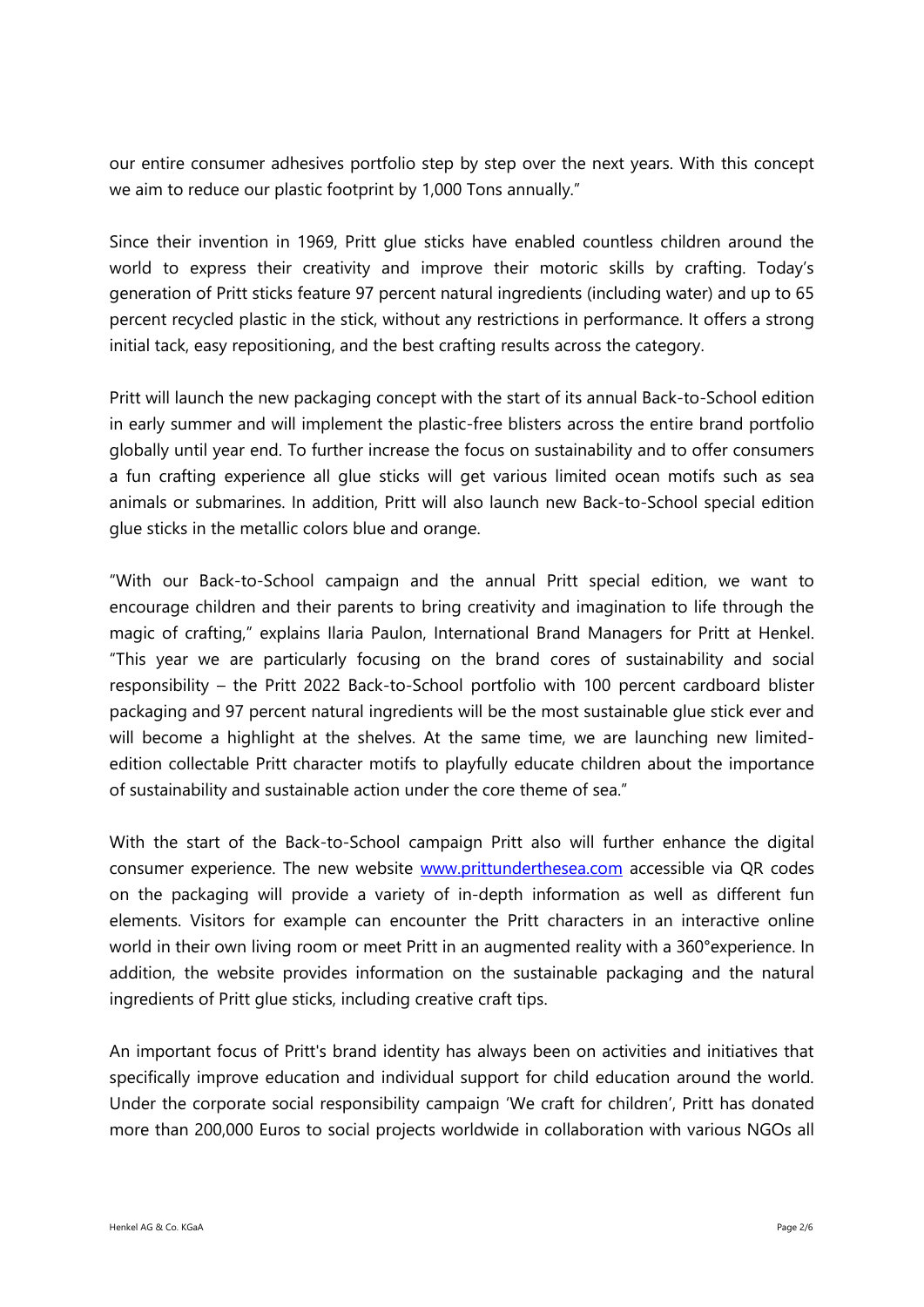our entire consumer adhesives portfolio step by step over the next years. With this concept we aim to reduce our plastic footprint by 1,000 Tons annually."

Since their invention in 1969, Pritt glue sticks have enabled countless children around the world to express their creativity and improve their motoric skills by crafting. Today's generation of Pritt sticks feature 97 percent natural ingredients (including water) and up to 65 percent recycled plastic in the stick, without any restrictions in performance. It offers a strong initial tack, easy repositioning, and the best crafting results across the category.

Pritt will launch the new packaging concept with the start of its annual Back-to-School edition in early summer and will implement the plastic-free blisters across the entire brand portfolio globally until year end. To further increase the focus on sustainability and to offer consumers a fun crafting experience all glue sticks will get various limited ocean motifs such as sea animals or submarines. In addition, Pritt will also launch new Back-to-School special edition glue sticks in the metallic colors blue and orange.

"With our Back-to-School campaign and the annual Pritt special edition, we want to encourage children and their parents to bring creativity and imagination to life through the magic of crafting," explains Ilaria Paulon, International Brand Managers for Pritt at Henkel. "This year we are particularly focusing on the brand cores of sustainability and social responsibility – the Pritt 2022 Back-to-School portfolio with 100 percent cardboard blister packaging and 97 percent natural ingredients will be the most sustainable glue stick ever and will become a highlight at the shelves. At the same time, we are launching new limitededition collectable Pritt character motifs to playfully educate children about the importance of sustainability and sustainable action under the core theme of sea."

With the start of the Back-to-School campaign Pritt also will further enhance the digital consumer experience. The new website [www.prittunderthesea.com](http://www.prittunderthesea.com/) accessible via QR codes on the packaging will provide a variety of in-depth information as well as different fun elements. Visitors for example can encounter the Pritt characters in an interactive online world in their own living room or meet Pritt in an augmented reality with a 360°experience. In addition, the website provides information on the sustainable packaging and the natural ingredients of Pritt glue sticks, including creative craft tips.

An important focus of Pritt's brand identity has always been on activities and initiatives that specifically improve education and individual support for child education around the world. Under the corporate social responsibility campaign 'We craft for children', Pritt has donated more than 200,000 Euros to social projects worldwide in collaboration with various NGOs all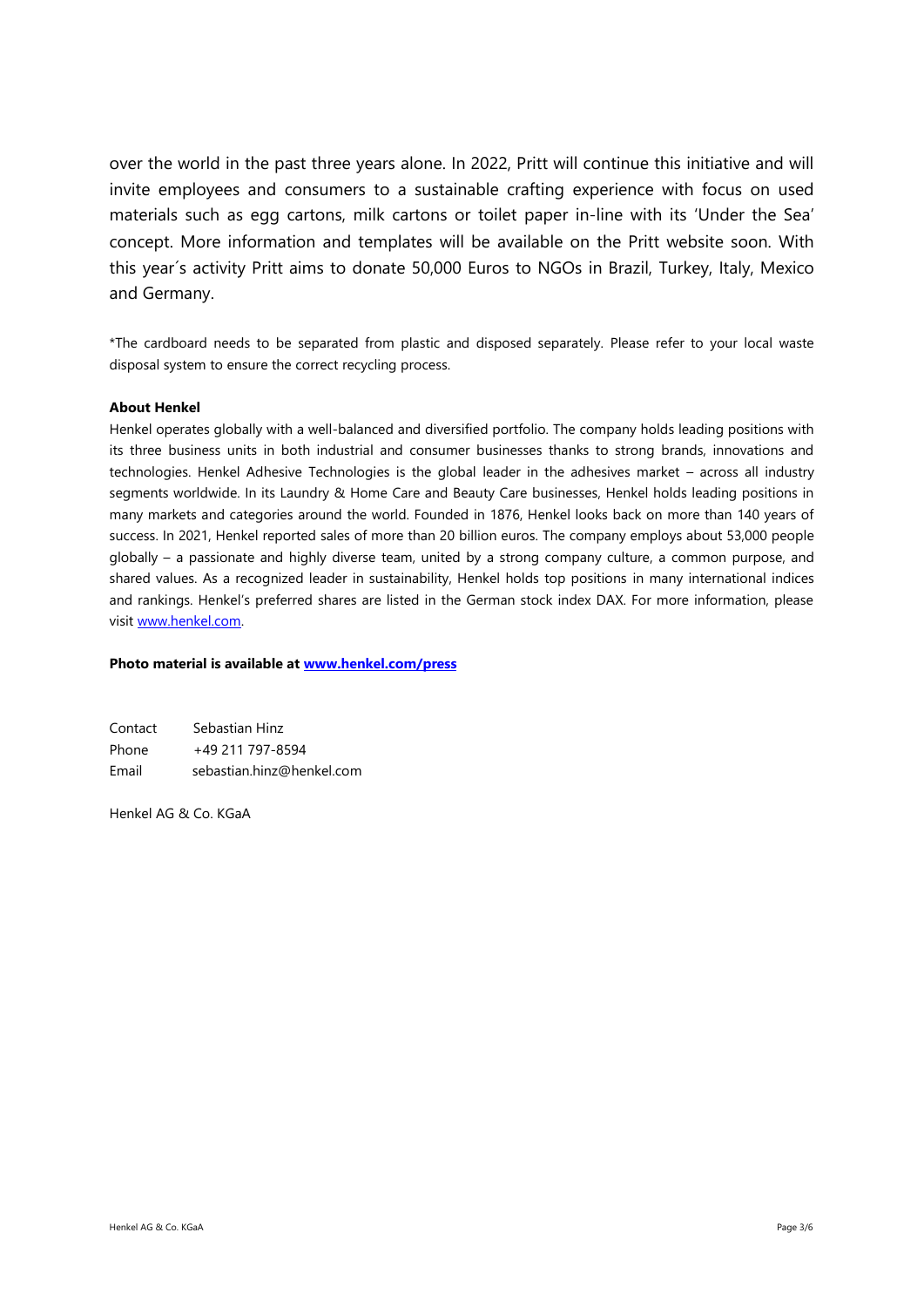over the world in the past three years alone. In 2022, Pritt will continue this initiative and will invite employees and consumers to a sustainable crafting experience with focus on used materials such as egg cartons, milk cartons or toilet paper in-line with its 'Under the Sea' concept. More information and templates will be available on the Pritt website soon. With this year´s activity Pritt aims to donate 50,000 Euros to NGOs in Brazil, Turkey, Italy, Mexico and Germany.

\*The cardboard needs to be separated from plastic and disposed separately. Please refer to your local waste disposal system to ensure the correct recycling process.

## **About Henkel**

Henkel operates globally with a well-balanced and diversified portfolio. The company holds leading positions with its three business units in both industrial and consumer businesses thanks to strong brands, innovations and technologies. Henkel Adhesive Technologies is the global leader in the adhesives market – across all industry segments worldwide. In its Laundry & Home Care and Beauty Care businesses, Henkel holds leading positions in many markets and categories around the world. Founded in 1876, Henkel looks back on more than 140 years of success. In 2021, Henkel reported sales of more than 20 billion euros. The company employs about 53,000 people globally – a passionate and highly diverse team, united by a strong company culture, a common purpose, and shared values. As a recognized leader in sustainability, Henkel holds top positions in many international indices and rankings. Henkel's preferred shares are listed in the German stock index DAX. For more information, please visi[t www.henkel.com.](file:///C:/Users/fischerl/AppData/Local/Microsoft/Windows/INetCache/Content.Outlook/2MGCYH4Y/www.henkel.com)

## **Photo material is available at [www.henkel.com/press](http://www.henkel.com/press)**

| Contact | Sebastian Hinz            |
|---------|---------------------------|
| Phone   | +49 211 797-8594          |
| Email   | sebastian.hinz@henkel.com |

Henkel AG & Co. KGaA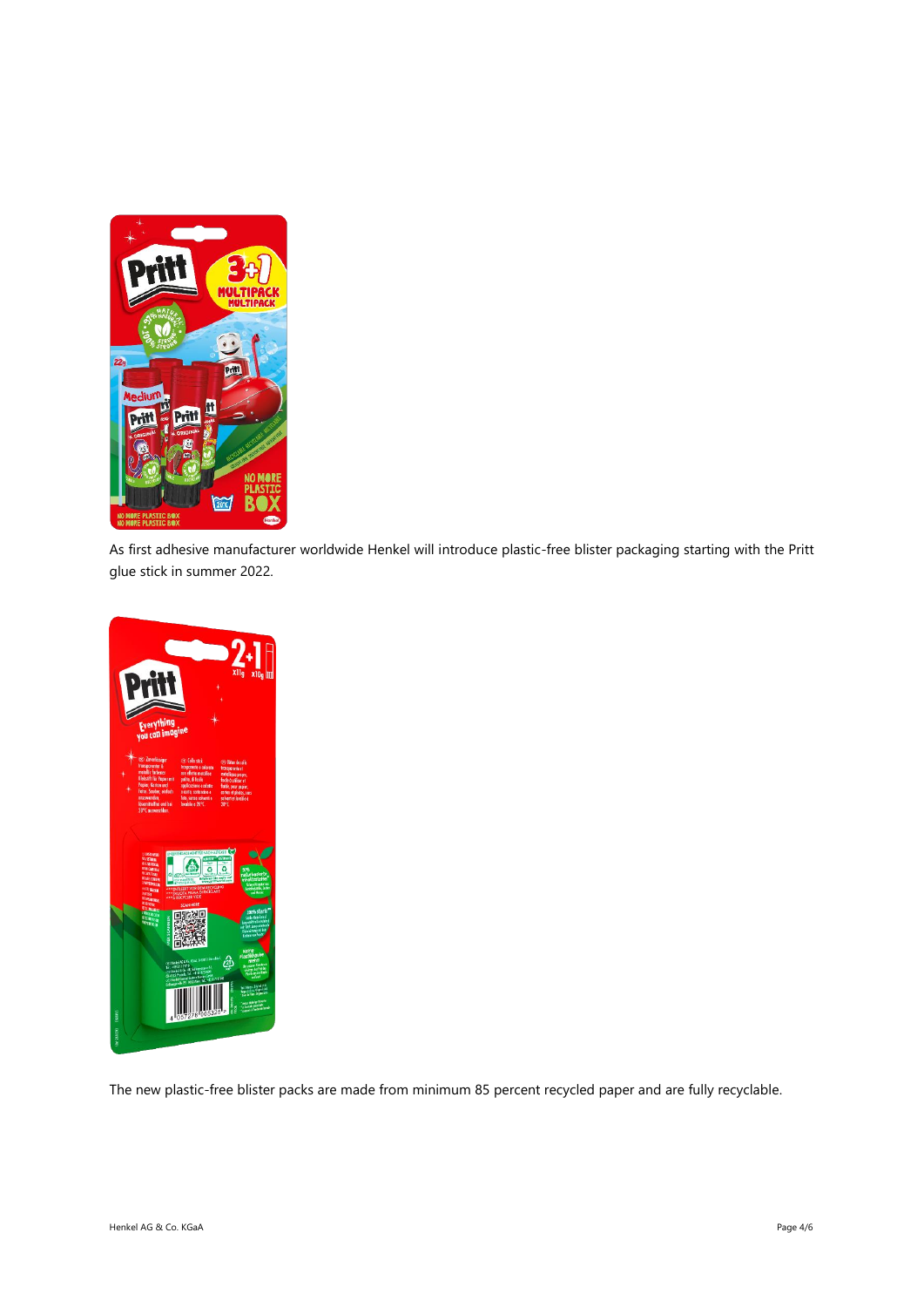

As first adhesive manufacturer worldwide Henkel will introduce plastic-free blister packaging starting with the Pritt glue stick in summer 2022.



The new plastic-free blister packs are made from minimum 85 percent recycled paper and are fully recyclable.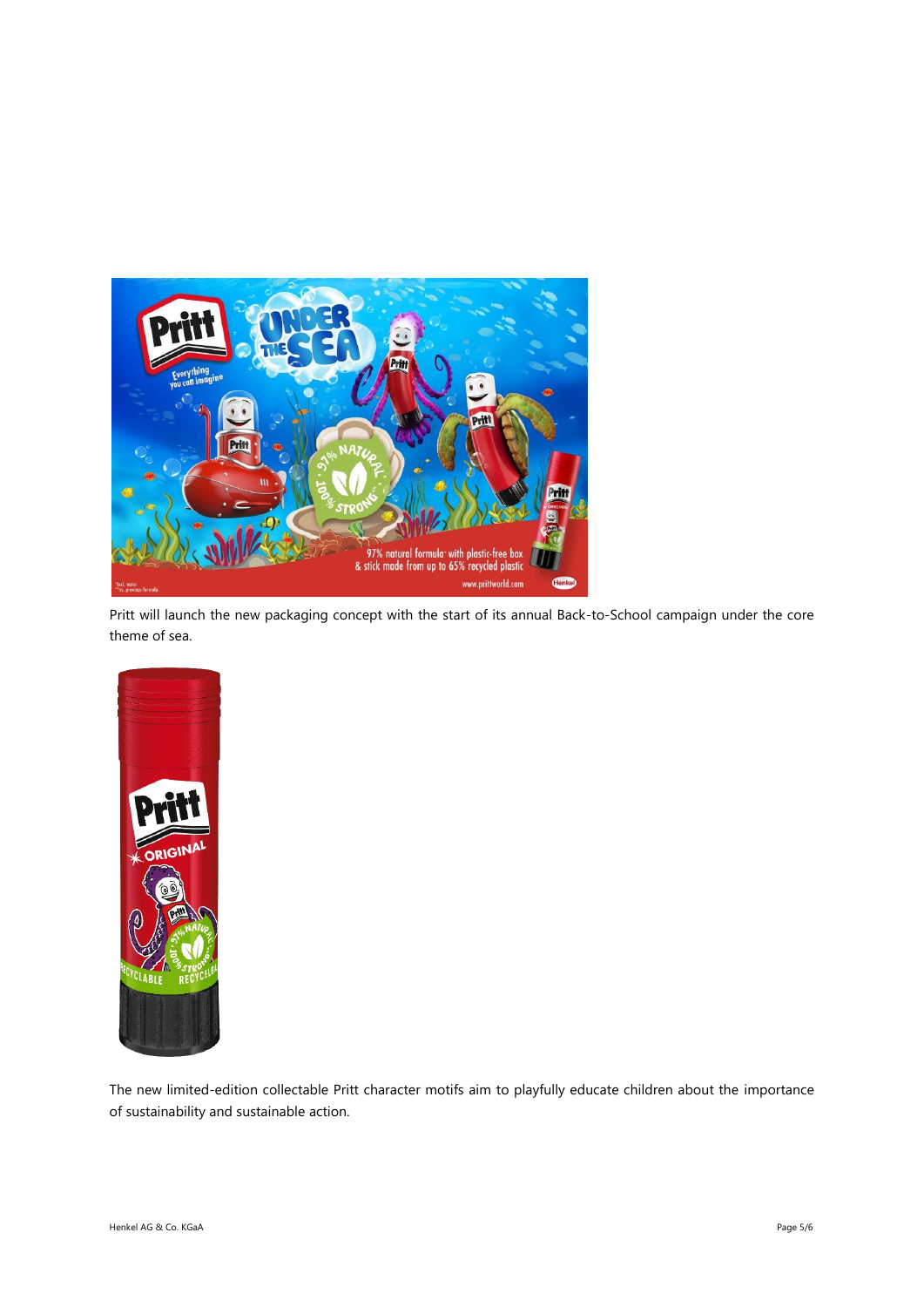

Pritt will launch the new packaging concept with the start of its annual Back-to-School campaign under the core theme of sea.



The new limited-edition collectable Pritt character motifs aim to playfully educate children about the importance of sustainability and sustainable action.